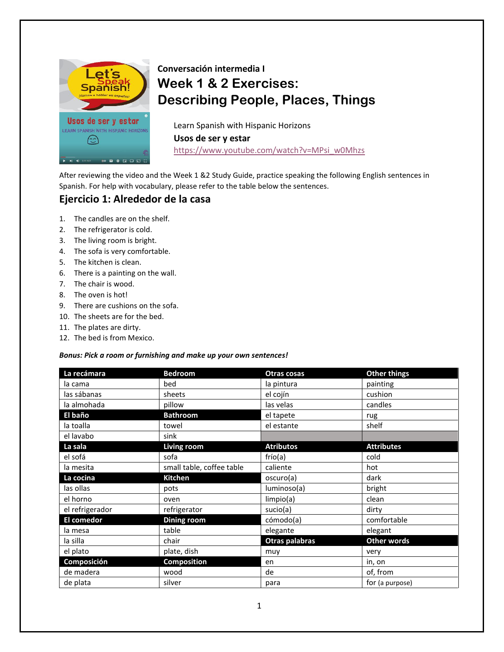

# **Conversación intermedia I Week 1 & 2 Exercises: Describing People, Places, Things**

Learn Spanish with Hispanic Horizons **Usos de ser y estar** [https://www.youtube.com/watch?v=MPsi\\_w0Mhzs](https://www.youtube.com/watch?v=MPsi_w0Mhzs)

After reviewing the video and the Week 1 &2 Study Guide, practice speaking the following English sentences in Spanish. For help with vocabulary, please refer to the table below the sentences.

### **Ejercicio 1: Alrededor de la casa**

- 1. The candles are on the shelf.
- 2. The refrigerator is cold.
- 3. The living room is bright.
- 4. The sofa is very comfortable.
- 5. The kitchen is clean.
- 6. There is a painting on the wall.
- 7. The chair is wood.
- 8. The oven is hot!
- 9. There are cushions on the sofa.
- 10. The sheets are for the bed.
- 11. The plates are dirty.
- 12. The bed is from Mexico.

#### *Bonus: Pick a room or furnishing and make up your own sentences!*

| La recámara       | <b>Bedroom</b>            | Otras cosas      | <b>Other things</b> |  |
|-------------------|---------------------------|------------------|---------------------|--|
| la cama           | bed                       | la pintura       | painting            |  |
| las sábanas       | sheets                    | el cojín         | cushion             |  |
| la almohada       | pillow                    | las velas        | candles             |  |
| El baño           | <b>Bathroom</b>           | el tapete        | rug                 |  |
| la toalla         | towel                     | el estante       | shelf               |  |
| el lavabo         | sink                      |                  |                     |  |
| La sala           | Living room               | <b>Atributos</b> | <b>Attributes</b>   |  |
| el sofá           | sofa                      | frío(a)          | cold                |  |
| la mesita         | small table, coffee table | caliente         | hot                 |  |
| La cocina         | <b>Kitchen</b>            | oscuro(a)        | dark                |  |
| las ollas         | pots                      | luminoso(a)      | bright              |  |
| el horno          | oven                      | limpio(a)        | clean               |  |
| el refrigerador   | refrigerator              | sucio(a)         | dirty               |  |
| <b>El comedor</b> | <b>Dining room</b>        | cómodo(a)        | comfortable         |  |
| la mesa           | table                     | elegante         | elegant             |  |
| la silla          | chair                     | Otras palabras   | <b>Other words</b>  |  |
| el plato          | plate, dish               | muy              | very                |  |
| Composición       | <b>Composition</b>        | en               | in, on              |  |
| de madera         | wood                      | de               | of, from            |  |
| de plata          | silver                    | para             | for (a purpose)     |  |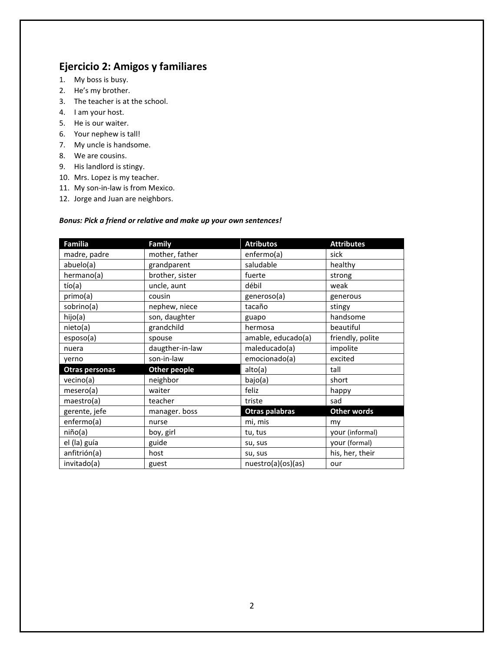# **Ejercicio 2: Amigos y familiares**

- 1. My boss is busy.
- 2. He's my brother.
- 3. The teacher is at the school.
- 4. I am your host.
- 5. He is our waiter.
- 6. Your nephew is tall!
- 7. My uncle is handsome.
- 8. We are cousins.
- 9. His landlord is stingy.
- 10. Mrs. Lopez is my teacher.
- 11. My son-in-law is from Mexico.
- 12. Jorge and Juan are neighbors.

#### *Bonus: Pick a friend or relative and make up your own sentences!*

| Familia        | Family              | <b>Atributos</b>   | <b>Attributes</b>  |
|----------------|---------------------|--------------------|--------------------|
| madre, padre   | mother, father      | enfermo(a)         | sick               |
| abuelo(a)      | grandparent         | saludable          | healthy            |
| hermano(a)     | brother, sister     | fuerte             | strong             |
| $t$ ío $(a)$   | uncle, aunt         | débil              | weak               |
| primo(a)       | cousin              | generoso(a)        | generous           |
| sobrino(a)     | nephew, niece       | tacaño             | stingy             |
| hijo(a)        | son, daughter       | guapo              | handsome           |
| nieto(a)       | grandchild          | hermosa            | beautiful          |
| esposo(a)      | spouse              | amable, educado(a) | friendly, polite   |
| nuera          | daugther-in-law     | maleducado(a)      | impolite           |
| yerno          | son-in-law          | emocionado(a)      | excited            |
| Otras personas | <b>Other people</b> | alto(a)            | tall               |
| vecino(a)      | neighbor            | bajo(a)            | short              |
| mesero(a)      | waiter              | feliz              | happy              |
| maestro(a)     | teacher             | triste             | sad                |
| gerente, jefe  | manager. boss       | Otras palabras     | <b>Other words</b> |
| enfermo(a)     | nurse               | mi, mis            | my                 |
| niño(a)        | boy, girl           | tu, tus            | your (informal)    |
| el (la) guía   | guide               | su, sus            | your (formal)      |
| anfitrión(a)   | host                | su, sus            | his, her, their    |
| invitado(a)    | guest               | nuestro(a)(os)(as) | our                |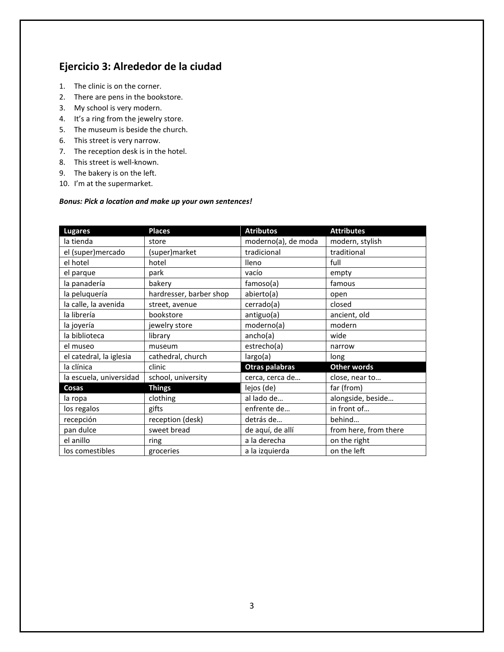# **Ejercicio 3: Alrededor de la ciudad**

- 1. The clinic is on the corner.
- 2. There are pens in the bookstore.
- 3. My school is very modern.
- 4. It's a ring from the jewelry store.
- 5. The museum is beside the church.
- 6. This street is very narrow.
- 7. The reception desk is in the hotel.
- 8. This street is well-known.
- 9. The bakery is on the left.
- 10. I'm at the supermarket.

#### *Bonus: Pick a location and make up your own sentences!*

| <b>Lugares</b>          | <b>Places</b>           | <b>Atributos</b>    | <b>Attributes</b>     |
|-------------------------|-------------------------|---------------------|-----------------------|
| la tienda               | store                   | moderno(a), de moda | modern, stylish       |
| el (super)mercado       | (super)market           | tradicional         | traditional           |
| el hotel                | hotel                   | lleno               | full                  |
| el parque               | park                    | vacío               | empty                 |
| la panadería            | bakery                  | famoso(a)           | famous                |
| la peluquería           | hardresser, barber shop | abierto(a)          | open                  |
| la calle, la avenida    | street, avenue          | cerrado(a)          | closed                |
| la librería             | bookstore               | antiguo(a)          | ancient, old          |
| la joyería              | jewelry store           | moderno(a)          | modern                |
| la biblioteca           | library                 | ancho(a)            | wide                  |
| el museo                | museum                  | estrecho(a)         | narrow                |
| el catedral, la iglesia | cathedral, church       | largo(a)            | long                  |
| la clínica              | clinic                  | Otras palabras      | <b>Other words</b>    |
| la escuela, universidad | school, university      | cerca, cerca de     | close, near to        |
| Cosas                   | <b>Things</b>           | lejos (de)          | far (from)            |
| la ropa                 | clothing                | al lado de          | alongside, beside     |
| los regalos             | gifts                   | enfrente de         | in front of           |
| recepción               | reception (desk)        | detrás de           | behind                |
| pan dulce               | sweet bread             | de aquí, de allí    | from here, from there |
| el anillo               | ring                    | a la derecha        | on the right          |
| los comestibles         | groceries               | a la izquierda      | on the left           |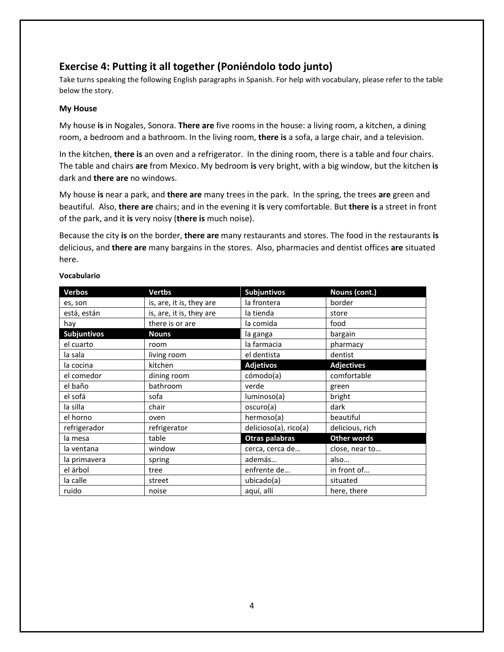# **Exercise 4: Putting it all together (Poniéndolo todo junto)**

Take turns speaking the following English paragraphs in Spanish. For help with vocabulary, please refer to the table below the story.

### **My House**

My house **is** in Nogales, Sonora. **There are** five rooms in the house: a living room, a kitchen, a dining room, a bedroom and a bathroom. In the living room, **there is** a sofa, a large chair, and a television.

In the kitchen, **there is** an oven and a refrigerator. In the dining room, there is a table and four chairs. The table and chairs **are** from Mexico. My bedroom **is** very bright, with a big window, but the kitchen **is** dark and **there are** no windows.

My house **is** near a park, and **there are** many trees in the park. In the spring, the trees **are** green and beautiful. Also, **there are** chairs; and in the evening it **is** very comfortable. But **there is** a street in front of the park, and it **is** very noisy (**there is** much noise).

Because the city **is** on the border, **there are** many restaurants and stores. The food in the restaurants **is** delicious, and **there are** many bargains in the stores. Also, pharmacies and dentist offices **are** situated here.

| <b>Verbos</b>      | <b>Vertbs</b>            | <b>Subjuntivos</b>    | Nouns (cont.)      |
|--------------------|--------------------------|-----------------------|--------------------|
| es, son            | is, are, it is, they are | la frontera           | border             |
| está, están        | is, are, it is, they are | la tienda             | store              |
| hay                | there is or are          | la comida             | food               |
| <b>Subjuntivos</b> | <b>Nouns</b>             | la ganga              | bargain            |
| el cuarto          | room                     | la farmacia           | pharmacy           |
| la sala            | living room              | el dentista           | dentist            |
| la cocina          | kitchen                  | <b>Adjetivos</b>      | <b>Adjectives</b>  |
| el comedor         | dining room              | cómodo(a)             | comfortable        |
| el baño            | bathroom                 | verde                 | green              |
| el sofá            | sofa                     | luminoso(a)           | bright             |
| la silla           | chair                    | oscuro(a)             | dark               |
| el horno           | oven                     | hermoso(a)            | beautiful          |
| refrigerador       | refrigerator             | delicioso(a), rico(a) | delicious, rich    |
| la mesa            | table                    | Otras palabras        | <b>Other words</b> |
| la ventana         | window                   | cerca, cerca de       | close, near to     |
| la primavera       | spring                   | además                | also               |
| el árbol           | tree                     | enfrente de           | in front of        |
| la calle           | street                   | ubicado(a)            | situated           |
| ruido              | noise                    | aquí, allí            | here, there        |

### **Vocabulario**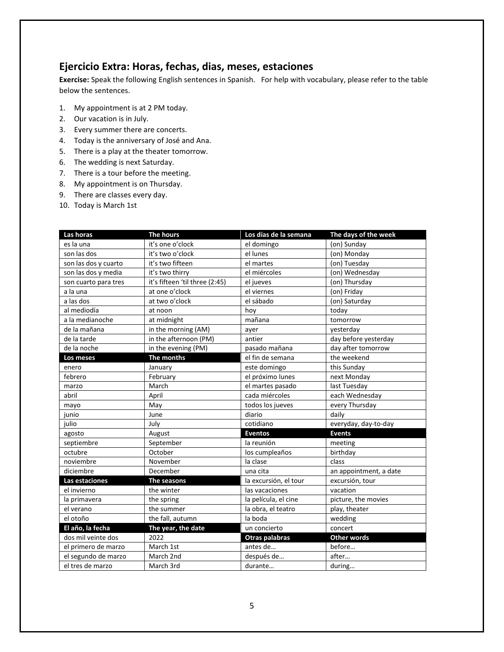# **Ejercicio Extra: Horas, fechas, dias, meses, estaciones**

**Exercise:** Speak the following English sentences in Spanish. For help with vocabulary, please refer to the table below the sentences.

- 1. My appointment is at 2 PM today.
- 2. Our vacation is in July.
- 3. Every summer there are concerts.
- 4. Today is the anniversary of José and Ana.
- 5. There is a play at the theater tomorrow.
- 6. The wedding is next Saturday.
- 7. There is a tour before the meeting.
- 8. My appointment is on Thursday.
- 9. There are classes every day.
- 10. Today is March 1st

| Las horas            | The hours                      | Los días de la semana | The days of the week   |
|----------------------|--------------------------------|-----------------------|------------------------|
| es la una            | it's one o'clock               | el domingo            | (on) Sunday            |
| son las dos          | it's two o'clock               | el lunes              | (on) Monday            |
| son las dos y cuarto | it's two fifteen               | el martes             | (on) Tuesday           |
| son las dos y media  | it's two thirry                | el miércoles          | (on) Wednesday         |
| son cuarto para tres | it's fifteen 'til three (2:45) | el jueves             | (on) Thursday          |
| a la una             | at one o'clock                 | el viernes            | (on) Friday            |
| a las dos            | at two o'clock                 | el sábado             | (on) Saturday          |
| al mediodía          | at noon                        | hoy                   | today                  |
| a la medianoche      | at midnight                    | mañana                | tomorrow               |
| de la mañana         | in the morning (AM)            | ayer                  | yesterday              |
| de la tarde          | in the afternoon (PM)          | antier                | day before yesterday   |
| de la noche          | in the evening (PM)            | pasado mañana         | day after tomorrow     |
| Los meses            | The months                     | el fin de semana      | the weekend            |
| enero                | January                        | este domingo          | this Sunday            |
| febrero              | February                       | el próximo lunes      | next Monday            |
| marzo                | March                          | el martes pasado      | last Tuesday           |
| abril                | April                          | cada miércoles        | each Wednesday         |
| mayo                 | May                            | todos los jueves      | every Thursday         |
| junio                | June                           | diario                | daily                  |
| julio                | July                           | cotidiano             | everyday, day-to-day   |
| agosto               | August                         | <b>Eventos</b>        | <b>Events</b>          |
| septiembre           | September                      | la reunión            | meeting                |
| octubre              | October                        | los cumpleaños        | birthday               |
| noviembre            | November                       | la clase              | class                  |
| diciembre            | December                       | una cita              | an appointment, a date |
| Las estaciones       | The seasons                    | la excursión, el tour | excursión, tour        |
| el invierno          | the winter                     | las vacaciones        | vacation               |
| la primavera         | the spring                     | la película, el cine  | picture, the movies    |
| el verano            | the summer                     | la obra, el teatro    | play, theater          |
| el otoño             | the fall, autumn               | la boda               | wedding                |
| El año, la fecha     | The year, the date             | un concierto          | concert                |
| dos mil veinte dos   | 2022                           | Otras palabras        | <b>Other words</b>     |
| el primero de marzo  | March 1st                      | antes de              | before                 |
| el segundo de marzo  | March 2nd                      | después de            | after                  |
| el tres de marzo     | March 3rd                      | durante               | during                 |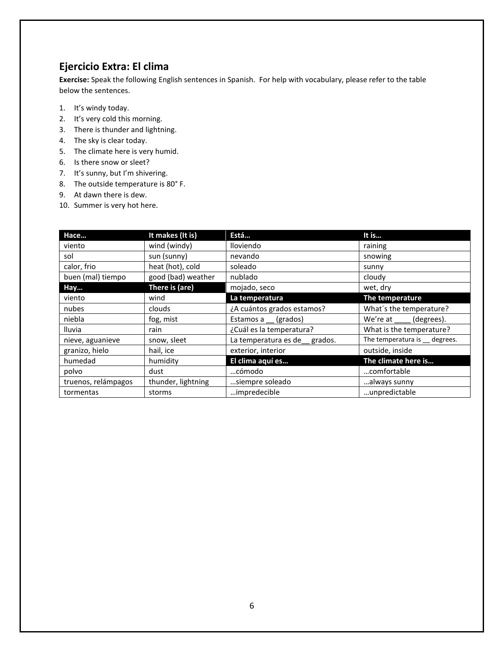# **Ejercicio Extra: El clima**

**Exercise:** Speak the following English sentences in Spanish. For help with vocabulary, please refer to the table below the sentences.

- 1. It's windy today.
- 2. It's very cold this morning.
- 3. There is thunder and lightning.
- 4. The sky is clear today.
- 5. The climate here is very humid.
- 6. Is there snow or sleet?
- 7. It's sunny, but I'm shivering.
- 8. The outside temperature is 80° F.
- 9. At dawn there is dew.
- 10. Summer is very hot here.

| Hace                | It makes (It is)   | Está                         | It is                          |
|---------------------|--------------------|------------------------------|--------------------------------|
| viento              | wind (windy)       | lloviendo                    | raining                        |
| sol                 | sun (sunny)        | nevando                      | snowing                        |
| calor, frio         | heat (hot), cold   | soleado                      | sunny                          |
| buen (mal) tiempo   | good (bad) weather | nublado                      | cloudy                         |
| Hay                 | There is (are)     | mojado, seco                 | wet, dry                       |
| viento              | wind               | La temperatura               | The temperature                |
| nubes               | clouds             | ¿A cuántos grados estamos?   | What's the temperature?        |
| niebla              | fog, mist          | Estamos a (grados)           | We're at (degrees).            |
| <b>Iluvia</b>       | rain               | ¿Cuál es la temperatura?     | What is the temperature?       |
| nieve, aguanieve    | snow, sleet        | La temperatura es de grados. | The temperatura is __ degrees. |
| granizo, hielo      | hail, ice          | exterior, interior           | outside, inside                |
| humedad             | humidity           | El clima aquí es             | The climate here is            |
| polvo               | dust               | cómodo                       | comfortable                    |
| truenos, relámpagos | thunder, lightning | siempre soleado              | always sunny                   |
| tormentas           | storms             | impredecible                 | unpredictable                  |